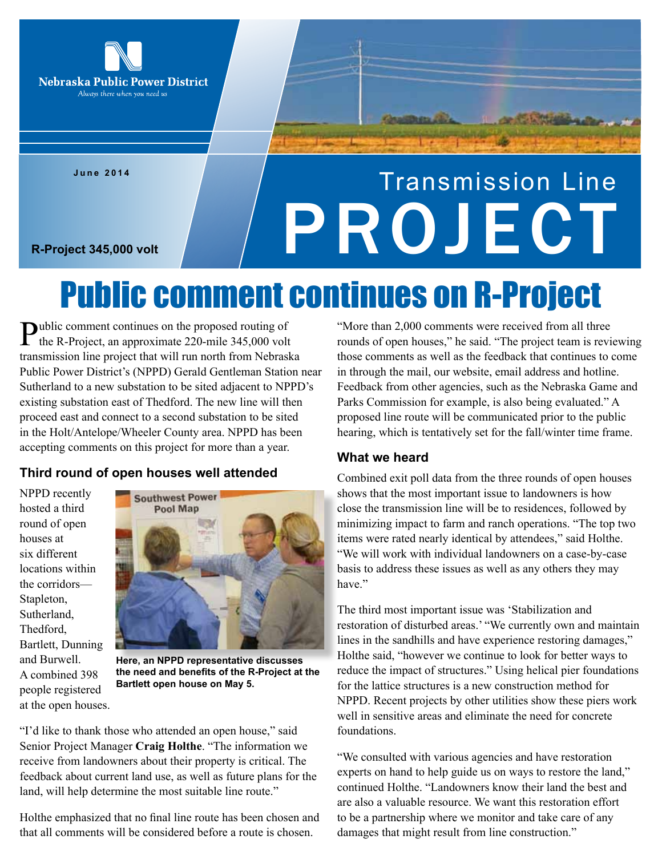

**June 2014**

# Transmission Line R-Project 345,000 volt **PROJECT**

## Public comment continues on R-Project

Public comment continues on the proposed routing of the R-Project, an approximate 220-mile 345,000 volt transmission line project that will run north from Nebraska Public Power District's (NPPD) Gerald Gentleman Station near Sutherland to a new substation to be sited adjacent to NPPD's existing substation east of Thedford. The new line will then proceed east and connect to a second substation to be sited in the Holt/Antelope/Wheeler County area. NPPD has been accepting comments on this project for more than a year.

#### **Third round of open houses well attended**

NPPD recently hosted a third round of open houses at six different locations within the corridors— Stapleton, Sutherland, Thedford, Bartlett, Dunning and Burwell. A combined 398 people registered at the open houses.



**Here, an NPPD representative discusses the need and benefits of the R-Project at the Bartlett open house on May 5.** 

"I'd like to thank those who attended an open house," said Senior Project Manager **Craig Holthe**. "The information we receive from landowners about their property is critical. The feedback about current land use, as well as future plans for the land, will help determine the most suitable line route."

Holthe emphasized that no final line route has been chosen and that all comments will be considered before a route is chosen.

"More than 2,000 comments were received from all three rounds of open houses," he said. "The project team is reviewing those comments as well as the feedback that continues to come in through the mail, our website, email address and hotline. Feedback from other agencies, such as the Nebraska Game and Parks Commission for example, is also being evaluated." A proposed line route will be communicated prior to the public hearing, which is tentatively set for the fall/winter time frame.

#### **What we heard**

Combined exit poll data from the three rounds of open houses shows that the most important issue to landowners is how close the transmission line will be to residences, followed by minimizing impact to farm and ranch operations. "The top two items were rated nearly identical by attendees," said Holthe. "We will work with individual landowners on a case-by-case basis to address these issues as well as any others they may have."

The third most important issue was 'Stabilization and restoration of disturbed areas.' "We currently own and maintain lines in the sandhills and have experience restoring damages," Holthe said, "however we continue to look for better ways to reduce the impact of structures." Using helical pier foundations for the lattice structures is a new construction method for NPPD. Recent projects by other utilities show these piers work well in sensitive areas and eliminate the need for concrete foundations.

"We consulted with various agencies and have restoration experts on hand to help guide us on ways to restore the land," continued Holthe. "Landowners know their land the best and are also a valuable resource. We want this restoration effort to be a partnership where we monitor and take care of any damages that might result from line construction."